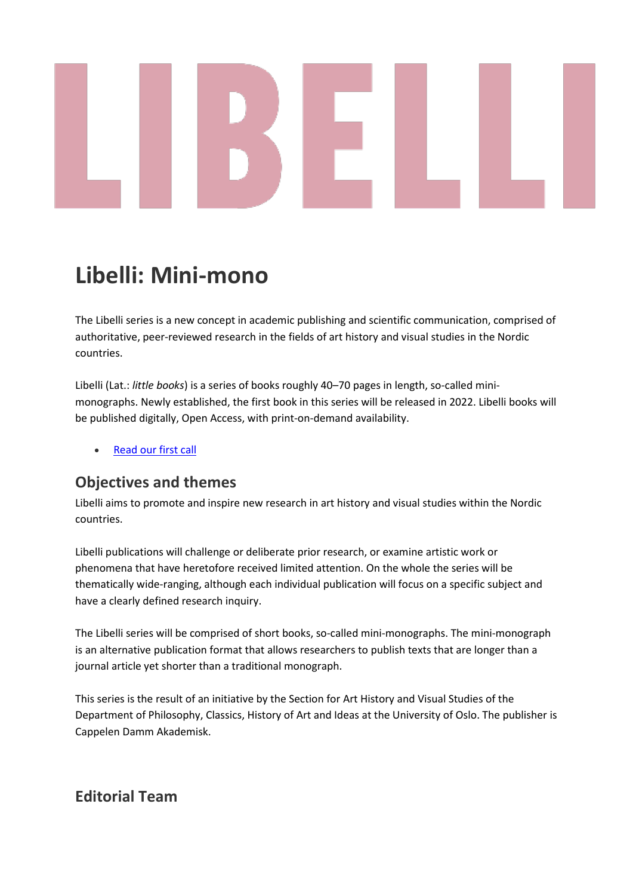# **Libelli: Mini-mono**

The Libelli series is a new concept in academic publishing and scientific communication, comprised of authoritative, peer-reviewed research in the fields of art history and visual studies in the Nordic countries.

Libelli (Lat.: *little books*) is a series of books roughly 40–70 pages in length, so-called minimonographs. Newly established, the first book in this series will be released in 2022. Libelli books will be published digitally, Open Access, with print-on-demand availability.

• [Read our first call](https://press.nordicopenaccess.no/index.php/noasp/libraryFiles/downloadPublic/5)

#### **Objectives and themes**

Libelli aims to promote and inspire new research in art history and visual studies within the Nordic countries.

Libelli publications will challenge or deliberate prior research, or examine artistic work or phenomena that have heretofore received limited attention. On the whole the series will be thematically wide-ranging, although each individual publication will focus on a specific subject and have a clearly defined research inquiry.

The Libelli series will be comprised of short books, so-called mini-monographs. The mini-monograph is an alternative publication format that allows researchers to publish texts that are longer than a journal article yet shorter than a traditional monograph.

This series is the result of an initiative by the Section for Art History and Visual Studies of the Department of Philosophy, Classics, History of Art and Ideas at the University of Oslo. The publisher is Cappelen Damm Akademisk.

# **Editorial Team**